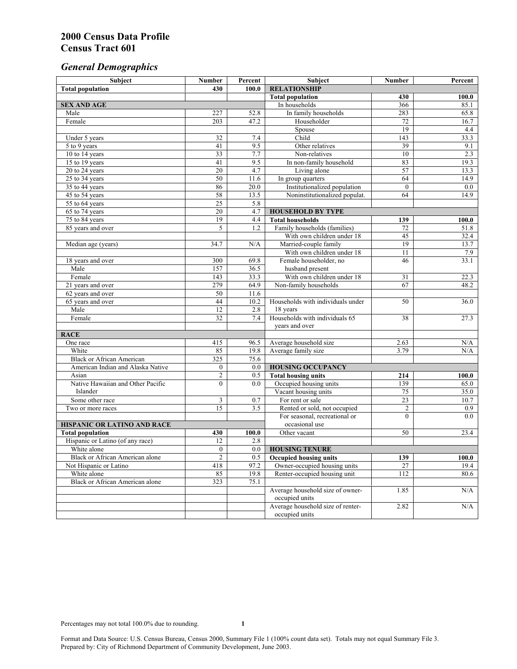# *General Demographics*

| Subject                                | <b>Number</b>    | Percent    | Subject                                             | <b>Number</b>   | Percent       |
|----------------------------------------|------------------|------------|-----------------------------------------------------|-----------------|---------------|
| <b>Total population</b>                | 430              | 100.0      | <b>RELATIONSHIP</b>                                 |                 |               |
|                                        |                  |            | <b>Total population</b>                             | 430             | 100.0         |
| <b>SEX AND AGE</b>                     |                  |            | In households                                       | 366             | 85.1          |
| Male                                   | 227              | 52.8       | In family households                                | 283             | 65.8          |
| Female                                 | 203              | 47.2       | Householder                                         | 72              | 16.7          |
|                                        |                  |            | Spouse                                              | 19              | 4.4           |
| Under 5 years                          | 32               | 7.4        | Child                                               | 143             | 33.3          |
| 5 to 9 years                           | 41               | 9.5        | Other relatives                                     | 39              | 9.1           |
| 10 to 14 years                         | $\overline{33}$  | 7.7        | Non-relatives                                       | 10              | 2.3           |
| 15 to 19 years                         | 41               | 9.5        | In non-family household                             | 83              | 19.3          |
| 20 to 24 years                         | $\overline{20}$  | 4.7        | Living alone                                        | 57              | 13.3          |
| 25 to 34 years                         | 50               | 11.6       | In group quarters                                   | 64              | 14.9          |
| 35 to 44 years                         | 86               | 20.0       | Institutionalized population                        | $\mathbf{0}$    | 0.0           |
| 45 to 54 years                         | 58               | 13.5       | Noninstitutionalized populat.                       | 64              | 14.9          |
| 55 to 64 years                         | 25<br>20         | 5.8<br>4.7 |                                                     |                 |               |
| 65 to 74 years                         | 19               | 4.4        | <b>HOUSEHOLD BY TYPE</b><br><b>Total households</b> |                 |               |
| 75 to 84 years                         | 5                | 1.2        | Family households (families)                        | 139<br>72       | 100.0<br>51.8 |
| 85 years and over                      |                  |            | With own children under 18                          | 45              | 32.4          |
| Median age (years)                     | 34.7             | N/A        | Married-couple family                               | 19              | 13.7          |
|                                        |                  |            | With own children under 18                          | 11              | 7.9           |
| 18 years and over                      | 300              | 69.8       | Female householder, no                              | 46              | 33.1          |
| Male                                   | 157              | 36.5       | husband present                                     |                 |               |
| Female                                 | 143              | 33.3       | With own children under 18                          | 31              | 22.3          |
| 21 years and over                      | 279              | 64.9       | Non-family households                               | 67              | 48.2          |
| 62 years and over                      | 50               | 11.6       |                                                     |                 |               |
| 65 years and over                      | 44               | 10.2       | Households with individuals under                   | 50              | 36.0          |
| Male                                   | 12               | 2.8        | 18 years                                            |                 |               |
| Female                                 | 32               | 7.4        | Households with individuals 65                      | 38              | 27.3          |
|                                        |                  |            | years and over                                      |                 |               |
| <b>RACE</b>                            |                  |            |                                                     |                 |               |
| One race                               | 415              | 96.5       | Average household size                              | 2.63            | N/A           |
| White                                  | 85               | 19.8       | Average family size                                 | 3.79            | N/A           |
| <b>Black or African American</b>       | 325              | 75.6       |                                                     |                 |               |
| American Indian and Alaska Native      | $\boldsymbol{0}$ | 0.0        | <b>HOUSING OCCUPANCY</b>                            |                 |               |
| Asian                                  | $\overline{c}$   | 0.5        | <b>Total housing units</b>                          | 214             | 100.0         |
| Native Hawaiian and Other Pacific      | $\theta$         | 0.0        | Occupied housing units                              | 139             | 65.0          |
| Islander                               |                  |            | Vacant housing units                                | 75              | 35.0          |
| Some other race                        | 3                | 0.7        | For rent or sale                                    | $\overline{23}$ | 10.7          |
| Two or more races                      | $\overline{15}$  | 3.5        | Rented or sold, not occupied                        | $\overline{2}$  | 0.9           |
|                                        |                  |            | For seasonal, recreational or                       | $\theta$        | 0.0           |
| HISPANIC OR LATINO AND RACE            |                  |            | occasional use                                      |                 |               |
| <b>Total population</b>                | 430              | 100.0      | Other vacant                                        | 50              | 23.4          |
| Hispanic or Latino (of any race)       | 12               | 2.8        |                                                     |                 |               |
| White alone                            | $\overline{0}$   | 0.0        | <b>HOUSING TENURE</b>                               |                 |               |
| Black or African American alone        | 2                | 0.5        | <b>Occupied housing units</b>                       | 139             | 100.0         |
| Not Hispanic or Latino                 | 418              | 97.2       | Owner-occupied housing units                        | $27\,$          | 19.4          |
| White alone                            | 85               | 19.8       | Renter-occupied housing unit                        | 112             | 80.6          |
| <b>Black or African American alone</b> | 323              | 75.1       |                                                     |                 |               |
|                                        |                  |            | Average household size of owner-                    | 1.85            | N/A           |
|                                        |                  |            | occupied units                                      |                 |               |
|                                        |                  |            | Average household size of renter-                   | 2.82            | N/A           |
|                                        |                  |            | occupied units                                      |                 |               |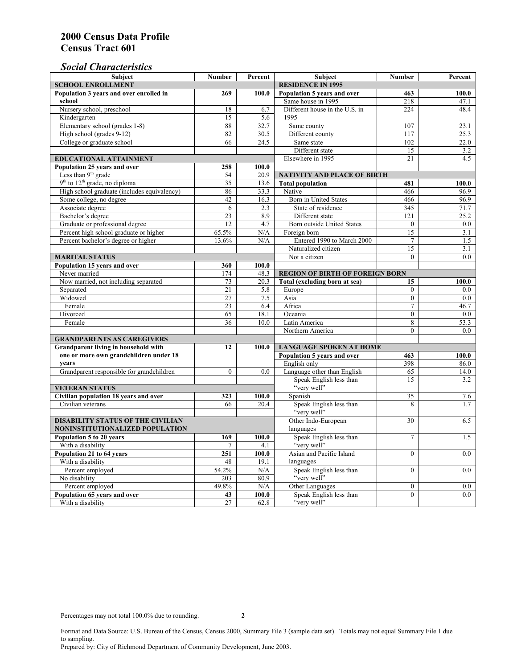# *Social Characteristics*

| <b>Subject</b>                              | <b>Number</b>            | Percent  | <b>Subject</b>                         | <b>Number</b>    | Percent |  |
|---------------------------------------------|--------------------------|----------|----------------------------------------|------------------|---------|--|
| <b>SCHOOL ENROLLMENT</b>                    | <b>RESIDENCE IN 1995</b> |          |                                        |                  |         |  |
| Population 3 years and over enrolled in     | 269                      | 100.0    | Population 5 years and over            | 463              | 100.0   |  |
| school                                      |                          |          | Same house in 1995                     | 218              | 47.1    |  |
| Nursery school, preschool                   | 18                       | 6.7      | Different house in the U.S. in         | 224              | 48.4    |  |
| Kindergarten                                | 15                       | 5.6      | 1995                                   |                  |         |  |
| Elementary school (grades 1-8)              | 88                       | 32.7     | Same county                            | 107              | 23.1    |  |
| High school (grades 9-12)                   | 82                       | 30.5     | Different county                       | 117              | 25.3    |  |
| College or graduate school                  | 66                       | 24.5     | Same state                             | 102              | 22.0    |  |
|                                             |                          |          | Different state                        | 15               | 3.2     |  |
| EDUCATIONAL ATTAINMENT                      |                          |          | Elsewhere in 1995                      | 21               | 4.5     |  |
| Population 25 years and over                | 258                      | 100.0    |                                        |                  |         |  |
| Less than 9 <sup>th</sup> grade             | 54                       | 20.9     | <b>NATIVITY AND PLACE OF BIRTH</b>     |                  |         |  |
| $9th$ to $12th$ grade, no diploma           | 35                       | 13.6     | <b>Total population</b>                | 481              | 100.0   |  |
| High school graduate (includes equivalency) | 86                       | 33.3     | Native                                 | 466              | 96.9    |  |
| Some college, no degree                     | 42                       | 16.3     | Born in United States                  | 466              | 96.9    |  |
| Associate degree                            | 6                        | 2.3      | State of residence                     | 345              | 71.7    |  |
| Bachelor's degree                           | 23                       | 8.9      | Different state                        | 121              | 25.2    |  |
| Graduate or professional degree             | 12                       | 4.7      | <b>Born outside United States</b>      | $\boldsymbol{0}$ | $0.0\,$ |  |
| Percent high school graduate or higher      | 65.5%                    | N/A      | Foreign born                           | 15               | 3.1     |  |
| Percent bachelor's degree or higher         | 13.6%                    | N/A      | Entered 1990 to March 2000             | $7\phantom{.0}$  | 1.5     |  |
|                                             |                          |          | Naturalized citizen                    | $\overline{15}$  | 3.1     |  |
| <b>MARITAL STATUS</b>                       | Not a citizen            | $\Omega$ | 0.0                                    |                  |         |  |
| Population 15 years and over                | 360                      | 100.0    |                                        |                  |         |  |
| Never married                               | 174                      | 48.3     | <b>REGION OF BIRTH OF FOREIGN BORN</b> |                  |         |  |
| Now married, not including separated        | 73                       | 20.3     | Total (excluding born at sea)          | 15               | 100.0   |  |
| Separated                                   | $\overline{21}$          | 5.8      | Europe                                 | $\mathbf{0}$     | $0.0\,$ |  |
| Widowed                                     | 27                       | 7.5      | Asia                                   | $\mathbf{0}$     | $0.0\,$ |  |
| Female                                      | 23                       | 6.4      | Africa                                 | $\overline{7}$   | 46.7    |  |
| Divorced                                    | 65                       | 18.1     | Oceania                                | $\mathbf{0}$     | 0.0     |  |
| Female                                      | 36                       | 10.0     | Latin America                          | 8                | 53.3    |  |
|                                             |                          |          | Northern America                       | $\overline{0}$   | 0.0     |  |
| <b>GRANDPARENTS AS CAREGIVERS</b>           |                          |          |                                        |                  |         |  |
| Grandparent living in household with<br>12  |                          | 100.0    | <b>LANGUAGE SPOKEN AT HOME</b>         |                  |         |  |
| one or more own grandchildren under 18      |                          |          | Population 5 years and over            | 463              | 100.0   |  |
| years                                       |                          |          | English only                           | 398              | 86.0    |  |
| Grandparent responsible for grandchildren   | $\theta$                 | 0.0      | Language other than English            | 65               | 14.0    |  |
|                                             |                          |          | Speak English less than                | 15               | 3.2     |  |
| <b>VETERAN STATUS</b>                       |                          |          | "very well"                            |                  |         |  |
| Civilian population 18 years and over       | 323                      | 100.0    | Spanish                                | 35               | 7.6     |  |
| Civilian veterans                           | 66                       | 20.4     | Speak English less than<br>"very well" | 8                | 1.7     |  |
| <b>DISABILITY STATUS OF THE CIVILIAN</b>    |                          |          | Other Indo-European                    | 30               | 6.5     |  |
| NONINSTITUTIONALIZED POPULATION             | languages                |          |                                        |                  |         |  |
| Population 5 to 20 years                    | 169                      | 100.0    | Speak English less than                | $\overline{7}$   | 1.5     |  |
| With a disability                           |                          | 4.1      | "very well"                            |                  |         |  |
| Population 21 to 64 years                   | 251                      | 100.0    | Asian and Pacific Island               | $\theta$         | 0.0     |  |
| With a disability                           | 48                       | 19.1     | languages                              |                  |         |  |
| Percent employed                            | 54.2%                    | N/A      | Speak English less than                | $\mathbf{0}$     | 0.0     |  |
| No disability                               | 203                      | 80.9     | "very well"                            |                  |         |  |
| Percent employed                            | 49.8%                    | N/A      | Other Languages                        | $\boldsymbol{0}$ | $0.0\,$ |  |
| Population 65 years and over                | 43                       | 100.0    | Speak English less than                | $\mathbf{0}$     | 0.0     |  |
| With a disability                           | 27                       | 62.8     | "very well"                            |                  |         |  |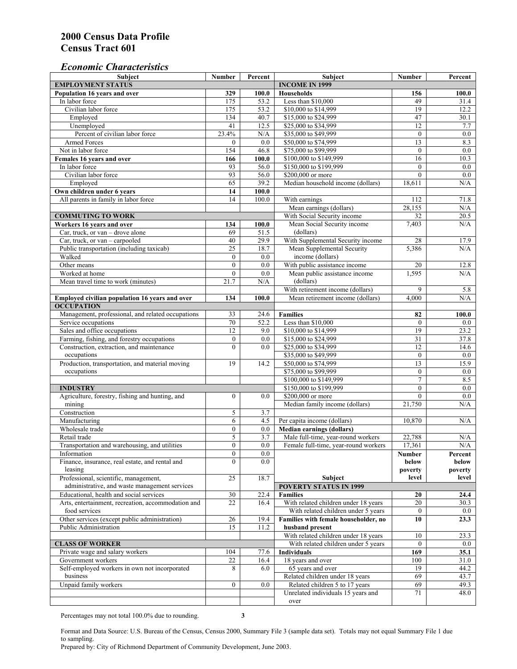#### *Economic Characteristics*

| <b>Subject</b>                                     | Number           | Percent | Subject                              | Number           | Percent |
|----------------------------------------------------|------------------|---------|--------------------------------------|------------------|---------|
| <b>EMPLOYMENT STATUS</b>                           |                  |         | <b>INCOME IN 1999</b>                |                  |         |
| Population 16 years and over                       | 329              | 100.0   | <b>Households</b>                    | 156              | 100.0   |
| In labor force                                     | 175              | 53.2    | Less than \$10,000                   | 49               | 31.4    |
| Civilian labor force                               | 175              | 53.2    | \$10,000 to \$14,999                 | 19               | 12.2    |
| Employed                                           | 134              | 40.7    | \$15,000 to \$24,999                 | 47               | 30.1    |
| Unemployed                                         | 41               | 12.5    | \$25,000 to \$34,999                 | 12               | 7.7     |
| Percent of civilian labor force                    | 23.4%            | N/A     | \$35,000 to \$49,999                 | $\boldsymbol{0}$ | 0.0     |
| Armed Forces                                       | $\mathbf{0}$     | 0.0     | \$50,000 to \$74,999                 | $\overline{13}$  | 8.3     |
| Not in labor force                                 | 154              | 46.8    | \$75,000 to \$99,999                 | $\mathbf{0}$     | 0.0     |
| Females 16 years and over                          | 166              | 100.0   | \$100,000 to \$149,999               | 16               | 10.3    |
| In labor force                                     | 93               | 56.0    | \$150,000 to \$199,999               | $\mathbf{0}$     | 0.0     |
| Civilian labor force                               | 93               | 56.0    | \$200,000 or more                    | $\mathbf{0}$     | 0.0     |
| Employed                                           | 65               | 39.2    | Median household income (dollars)    | 18,611           | N/A     |
| Own children under 6 years                         | 14               | 100.0   |                                      |                  |         |
| All parents in family in labor force               | 14               | 100.0   | With earnings                        | 112              | 71.8    |
|                                                    |                  |         | Mean earnings (dollars)              | 28,155           | N/A     |
| <b>COMMUTING TO WORK</b>                           |                  |         | With Social Security income          | 32               | 20.5    |
| Workers 16 years and over                          | 134              | 100.0   | Mean Social Security income          | 7,403            | N/A     |
| Car, truck, or van – drove alone                   | 69               | 51.5    | (dollars)                            |                  |         |
| Car, truck, or van - carpooled                     | 40               | 29.9    | With Supplemental Security income    | 28               | 17.9    |
| Public transportation (including taxicab)          | $\overline{25}$  | 18.7    | Mean Supplemental Security           | 5,386            | N/A     |
| Walked                                             | $\boldsymbol{0}$ | 0.0     | income (dollars)                     |                  |         |
| Other means                                        | $\boldsymbol{0}$ | 0.0     | With public assistance income        |                  |         |
|                                                    |                  |         |                                      | 20<br>1,595      | 12.8    |
| Worked at home                                     | $\mathbf{0}$     | 0.0     | Mean public assistance income        |                  | N/A     |
| Mean travel time to work (minutes)                 | 21.7             | N/A     | (dollars)                            |                  |         |
|                                                    |                  |         | With retirement income (dollars)     | 9                | 5.8     |
| Employed civilian population 16 years and over     | 134              | 100.0   | Mean retirement income (dollars)     | 4,000            | N/A     |
| <b>OCCUPATION</b>                                  |                  |         |                                      |                  |         |
| Management, professional, and related occupations  | 33               | 24.6    | <b>Families</b>                      | 82               | 100.0   |
| Service occupations                                | 70               | 52.2    | Less than \$10,000                   | $\mathbf{0}$     | $0.0\,$ |
| Sales and office occupations                       | 12               | 9.0     | \$10,000 to \$14,999                 | 19               | 23.2    |
| Farming, fishing, and forestry occupations         | $\boldsymbol{0}$ | 0.0     | \$15,000 to \$24,999                 | 31               | 37.8    |
| Construction, extraction, and maintenance          | $\mathbf{0}$     | 0.0     | \$25,000 to \$34,999                 | 12               | 14.6    |
| occupations                                        |                  |         | \$35,000 to \$49,999                 | $\mathbf{0}$     | 0.0     |
| Production, transportation, and material moving    | 19               | 14.2    | \$50,000 to \$74,999                 | 13               | 15.9    |
| occupations                                        |                  |         | \$75,000 to \$99,999                 | $\boldsymbol{0}$ | 0.0     |
|                                                    |                  |         | \$100,000 to \$149,999               | $\overline{7}$   | 8.5     |
| <b>INDUSTRY</b>                                    |                  |         | \$150,000 to \$199,999               | $\mathbf{0}$     | 0.0     |
| Agriculture, forestry, fishing and hunting, and    | $\boldsymbol{0}$ | 0.0     | \$200,000 or more                    | $\theta$         | 0.0     |
| mining                                             |                  |         | Median family income (dollars)       | 21,750           | N/A     |
| Construction                                       | 5                | 3.7     |                                      |                  |         |
| Manufacturing                                      | 6                | 4.5     | Per capita income (dollars)          | 10,870           | N/A     |
| Wholesale trade                                    | $\boldsymbol{0}$ | 0.0     | <b>Median earnings (dollars)</b>     |                  |         |
| Retail trade                                       | 5                | 3.7     | Male full-time, year-round workers   | 22,788           | N/A     |
| Transportation and warehousing, and utilities      | $\boldsymbol{0}$ | 0.0     | Female full-time, year-round workers | 17,361           | N/A     |
| Information                                        | $\boldsymbol{0}$ | 0.0     |                                      | Number           | Percent |
| Finance, insurance, real estate, and rental and    | $\theta$         | 0.0     |                                      | below            | below   |
| leasing                                            |                  |         |                                      | poverty          | poverty |
| Professional, scientific, management,              | 25               | 18.7    | Subject                              | level            | level   |
| administrative, and waste management services      |                  |         | <b>POVERTY STATUS IN 1999</b>        |                  |         |
| Educational, health and social services            | 30               | 22.4    | <b>Families</b>                      | 20               | 24.4    |
| Arts, entertainment, recreation, accommodation and | 22               | 16.4    | With related children under 18 years | 20               | 30.3    |
| food services                                      |                  |         | With related children under 5 years  | $\mathbf{0}$     | $0.0\,$ |
| Other services (except public administration)      | 26               | 19.4    | Families with female householder, no | 10               | 23.3    |
| Public Administration                              | 15               | 11.2    | husband present                      |                  |         |
|                                                    |                  |         | With related children under 18 years | 10               | 23.3    |
| <b>CLASS OF WORKER</b>                             |                  |         | With related children under 5 years  | $\mathbf{0}$     |         |
| Private wage and salary workers                    |                  |         |                                      |                  | $0.0\,$ |
|                                                    | 104              | 77.6    | Individuals                          | 169              | 35.1    |
| Government workers                                 | 22               | 16.4    | 18 years and over                    | 100              | 31.0    |
| Self-employed workers in own not incorporated      | 8                | 6.0     | 65 years and over                    | 19               | 44.2    |
| business                                           |                  |         | Related children under 18 years      | 69               | 43.7    |
| Unpaid family workers                              | $\mathbf{0}$     | 0.0     | Related children 5 to 17 years       | 69               | 49.3    |
|                                                    |                  |         | Unrelated individuals 15 years and   | 71               | 48.0    |
|                                                    |                  |         | over                                 |                  |         |

Percentages may not total 100.0% due to rounding. **3** 

Format and Data Source: U.S. Bureau of the Census, Census 2000, Summary File 3 (sample data set). Totals may not equal Summary File 1 due to sampling.

Prepared by: City of Richmond Department of Community Development, June 2003.